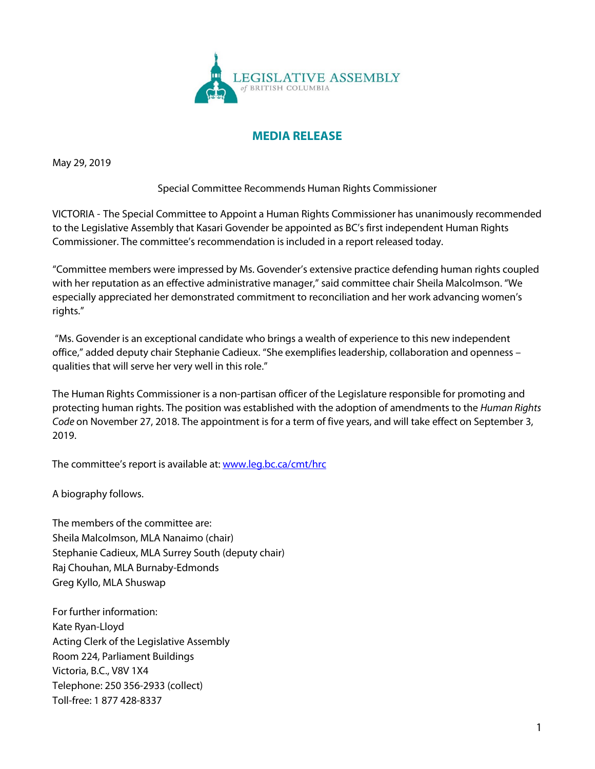

## **MEDIA RELEASE**

May 29, 2019

Special Committee Recommends Human Rights Commissioner

VICTORIA - The Special Committee to Appoint a Human Rights Commissioner has unanimously recommended to the Legislative Assembly that Kasari Govender be appointed as BC's first independent Human Rights Commissioner. The committee's recommendation is included in a report released today.

"Committee members were impressed by Ms. Govender's extensive practice defending human rights coupled with her reputation as an effective administrative manager," said committee chair Sheila Malcolmson. "We especially appreciated her demonstrated commitment to reconciliation and her work advancing women's rights."

"Ms. Govender is an exceptional candidate who brings a wealth of experience to this new independent office," added deputy chair Stephanie Cadieux. "She exemplifies leadership, collaboration and openness – qualities that will serve her very well in this role."

The Human Rights Commissioner is a non-partisan officer of the Legislature responsible for promoting and protecting human rights. The position was established with the adoption of amendments to the *Human Rights Code* on November 27, 2018. The appointment is for a term of five years, and will take effect on September 3, 2019.

The committee's report is available at: [www.leg.bc.ca/cmt/hrc](http://www.leg.bc.ca/cmt/hrc)

A biography follows.

The members of the committee are: Sheila Malcolmson, MLA Nanaimo (chair) Stephanie Cadieux, MLA Surrey South (deputy chair) Raj Chouhan, MLA Burnaby-Edmonds Greg Kyllo, MLA Shuswap

For further information: Kate Ryan-Lloyd Acting Clerk of the Legislative Assembly Room 224, Parliament Buildings Victoria, B.C., V8V 1X4 Telephone: 250 356-2933 (collect) Toll-free: 1 877 428-8337